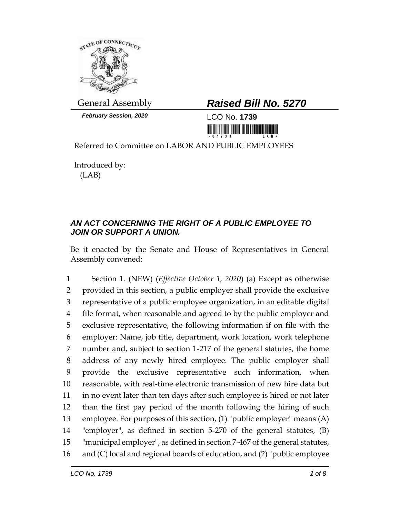

*February Session, 2020* LCO No. **1739**

## General Assembly *Raised Bill No. 5270*

<u> 1989 - Johann Maria Barat, martin shkola</u>

Referred to Committee on LABOR AND PUBLIC EMPLOYEES

Introduced by: (LAB)

## *AN ACT CONCERNING THE RIGHT OF A PUBLIC EMPLOYEE TO JOIN OR SUPPORT A UNION.*

Be it enacted by the Senate and House of Representatives in General Assembly convened:

 Section 1. (NEW) (*Effective October 1, 2020*) (a) Except as otherwise provided in this section, a public employer shall provide the exclusive representative of a public employee organization, in an editable digital file format, when reasonable and agreed to by the public employer and exclusive representative, the following information if on file with the employer: Name, job title, department, work location, work telephone number and, subject to section 1-217 of the general statutes, the home address of any newly hired employee. The public employer shall provide the exclusive representative such information, when reasonable, with real-time electronic transmission of new hire data but in no event later than ten days after such employee is hired or not later than the first pay period of the month following the hiring of such employee. For purposes of this section, (1) "public employer" means (A) "employer", as defined in section 5-270 of the general statutes, (B) "municipal employer", as defined in section 7-467 of the general statutes, and (C) local and regional boards of education, and (2) "public employee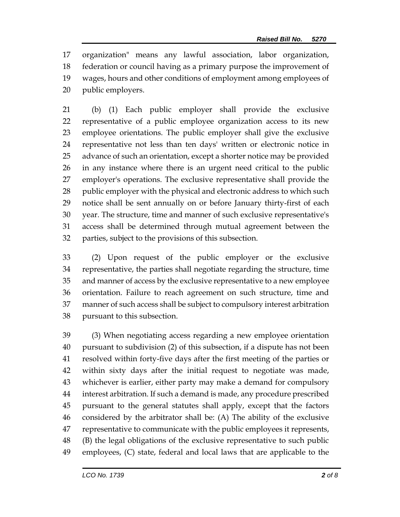organization" means any lawful association, labor organization, federation or council having as a primary purpose the improvement of wages, hours and other conditions of employment among employees of public employers.

 (b) (1) Each public employer shall provide the exclusive representative of a public employee organization access to its new employee orientations. The public employer shall give the exclusive representative not less than ten days' written or electronic notice in advance of such an orientation, except a shorter notice may be provided in any instance where there is an urgent need critical to the public employer's operations. The exclusive representative shall provide the 28 public employer with the physical and electronic address to which such notice shall be sent annually on or before January thirty-first of each year. The structure, time and manner of such exclusive representative's access shall be determined through mutual agreement between the parties, subject to the provisions of this subsection.

 (2) Upon request of the public employer or the exclusive representative, the parties shall negotiate regarding the structure, time and manner of access by the exclusive representative to a new employee orientation. Failure to reach agreement on such structure, time and manner of such access shall be subject to compulsory interest arbitration pursuant to this subsection.

 (3) When negotiating access regarding a new employee orientation pursuant to subdivision (2) of this subsection, if a dispute has not been resolved within forty-five days after the first meeting of the parties or within sixty days after the initial request to negotiate was made, whichever is earlier, either party may make a demand for compulsory interest arbitration. If such a demand is made, any procedure prescribed pursuant to the general statutes shall apply, except that the factors considered by the arbitrator shall be: (A) The ability of the exclusive representative to communicate with the public employees it represents, (B) the legal obligations of the exclusive representative to such public employees, (C) state, federal and local laws that are applicable to the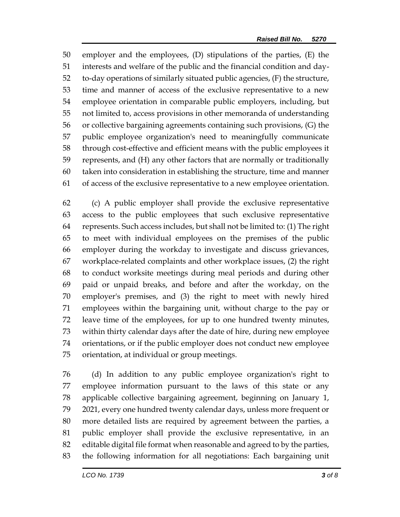employer and the employees, (D) stipulations of the parties, (E) the interests and welfare of the public and the financial condition and day- to-day operations of similarly situated public agencies, (F) the structure, time and manner of access of the exclusive representative to a new employee orientation in comparable public employers, including, but not limited to, access provisions in other memoranda of understanding or collective bargaining agreements containing such provisions, (G) the public employee organization's need to meaningfully communicate through cost-effective and efficient means with the public employees it represents, and (H) any other factors that are normally or traditionally taken into consideration in establishing the structure, time and manner of access of the exclusive representative to a new employee orientation.

 (c) A public employer shall provide the exclusive representative access to the public employees that such exclusive representative represents. Such access includes, but shall not be limited to: (1) The right to meet with individual employees on the premises of the public employer during the workday to investigate and discuss grievances, workplace-related complaints and other workplace issues, (2) the right to conduct worksite meetings during meal periods and during other paid or unpaid breaks, and before and after the workday, on the employer's premises, and (3) the right to meet with newly hired employees within the bargaining unit, without charge to the pay or leave time of the employees, for up to one hundred twenty minutes, within thirty calendar days after the date of hire, during new employee orientations, or if the public employer does not conduct new employee orientation, at individual or group meetings.

 (d) In addition to any public employee organization's right to employee information pursuant to the laws of this state or any applicable collective bargaining agreement, beginning on January 1, 2021, every one hundred twenty calendar days, unless more frequent or more detailed lists are required by agreement between the parties, a public employer shall provide the exclusive representative, in an editable digital file format when reasonable and agreed to by the parties, the following information for all negotiations: Each bargaining unit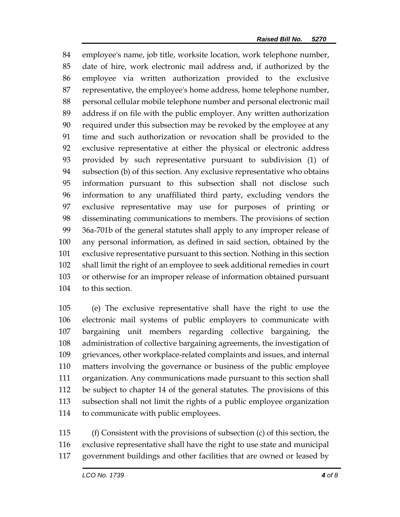employee's name, job title, worksite location, work telephone number, date of hire, work electronic mail address and, if authorized by the employee via written authorization provided to the exclusive representative, the employee's home address, home telephone number, personal cellular mobile telephone number and personal electronic mail address if on file with the public employer. Any written authorization required under this subsection may be revoked by the employee at any time and such authorization or revocation shall be provided to the exclusive representative at either the physical or electronic address provided by such representative pursuant to subdivision (1) of subsection (b) of this section. Any exclusive representative who obtains information pursuant to this subsection shall not disclose such information to any unaffiliated third party, excluding vendors the exclusive representative may use for purposes of printing or disseminating communications to members. The provisions of section 36a-701b of the general statutes shall apply to any improper release of any personal information, as defined in said section, obtained by the exclusive representative pursuant to this section. Nothing in this section shall limit the right of an employee to seek additional remedies in court or otherwise for an improper release of information obtained pursuant to this section.

 (e) The exclusive representative shall have the right to use the electronic mail systems of public employers to communicate with bargaining unit members regarding collective bargaining, the administration of collective bargaining agreements, the investigation of grievances, other workplace-related complaints and issues, and internal matters involving the governance or business of the public employee organization. Any communications made pursuant to this section shall be subject to chapter 14 of the general statutes. The provisions of this subsection shall not limit the rights of a public employee organization to communicate with public employees.

 (f) Consistent with the provisions of subsection (c) of this section, the exclusive representative shall have the right to use state and municipal government buildings and other facilities that are owned or leased by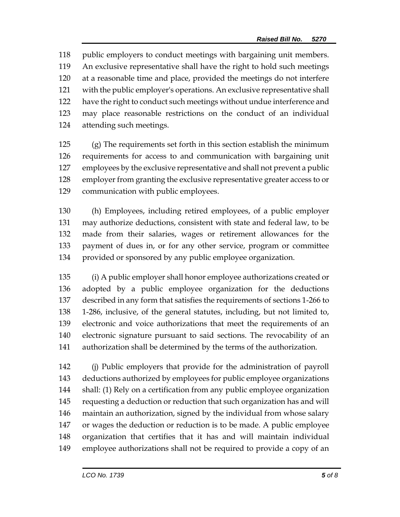public employers to conduct meetings with bargaining unit members. An exclusive representative shall have the right to hold such meetings at a reasonable time and place, provided the meetings do not interfere with the public employer's operations. An exclusive representative shall have the right to conduct such meetings without undue interference and may place reasonable restrictions on the conduct of an individual attending such meetings.

 (g) The requirements set forth in this section establish the minimum requirements for access to and communication with bargaining unit employees by the exclusive representative and shall not prevent a public employer from granting the exclusive representative greater access to or communication with public employees.

 (h) Employees, including retired employees, of a public employer may authorize deductions, consistent with state and federal law, to be made from their salaries, wages or retirement allowances for the payment of dues in, or for any other service, program or committee provided or sponsored by any public employee organization.

 (i) A public employer shall honor employee authorizations created or adopted by a public employee organization for the deductions described in any form that satisfies the requirements of sections 1-266 to 1-286, inclusive, of the general statutes, including, but not limited to, electronic and voice authorizations that meet the requirements of an electronic signature pursuant to said sections. The revocability of an authorization shall be determined by the terms of the authorization.

 (j) Public employers that provide for the administration of payroll deductions authorized by employees for public employee organizations shall: (1) Rely on a certification from any public employee organization requesting a deduction or reduction that such organization has and will maintain an authorization, signed by the individual from whose salary or wages the deduction or reduction is to be made. A public employee organization that certifies that it has and will maintain individual employee authorizations shall not be required to provide a copy of an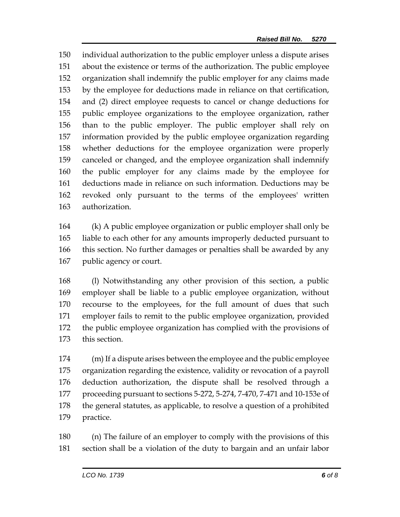individual authorization to the public employer unless a dispute arises about the existence or terms of the authorization. The public employee organization shall indemnify the public employer for any claims made by the employee for deductions made in reliance on that certification, and (2) direct employee requests to cancel or change deductions for public employee organizations to the employee organization, rather than to the public employer. The public employer shall rely on information provided by the public employee organization regarding whether deductions for the employee organization were properly canceled or changed, and the employee organization shall indemnify the public employer for any claims made by the employee for deductions made in reliance on such information. Deductions may be revoked only pursuant to the terms of the employees' written authorization.

 (k) A public employee organization or public employer shall only be liable to each other for any amounts improperly deducted pursuant to this section. No further damages or penalties shall be awarded by any public agency or court.

 (l) Notwithstanding any other provision of this section, a public employer shall be liable to a public employee organization, without recourse to the employees, for the full amount of dues that such employer fails to remit to the public employee organization, provided the public employee organization has complied with the provisions of this section.

 (m) If a dispute arises between the employee and the public employee organization regarding the existence, validity or revocation of a payroll deduction authorization, the dispute shall be resolved through a proceeding pursuant to sections 5-272, 5-274, 7-470, 7-471 and 10-153e of the general statutes, as applicable, to resolve a question of a prohibited practice.

 (n) The failure of an employer to comply with the provisions of this section shall be a violation of the duty to bargain and an unfair labor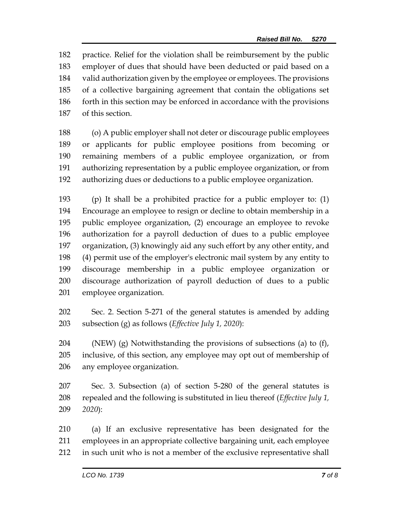practice. Relief for the violation shall be reimbursement by the public employer of dues that should have been deducted or paid based on a valid authorization given by the employee or employees. The provisions of a collective bargaining agreement that contain the obligations set forth in this section may be enforced in accordance with the provisions of this section.

 (o) A public employer shall not deter or discourage public employees or applicants for public employee positions from becoming or remaining members of a public employee organization, or from authorizing representation by a public employee organization, or from authorizing dues or deductions to a public employee organization.

 (p) It shall be a prohibited practice for a public employer to: (1) Encourage an employee to resign or decline to obtain membership in a public employee organization, (2) encourage an employee to revoke authorization for a payroll deduction of dues to a public employee organization, (3) knowingly aid any such effort by any other entity, and (4) permit use of the employer's electronic mail system by any entity to discourage membership in a public employee organization or discourage authorization of payroll deduction of dues to a public employee organization.

 Sec. 2. Section 5-271 of the general statutes is amended by adding subsection (g) as follows (*Effective July 1, 2020*):

 (NEW) (g) Notwithstanding the provisions of subsections (a) to (f), inclusive, of this section, any employee may opt out of membership of any employee organization.

 Sec. 3. Subsection (a) of section 5-280 of the general statutes is repealed and the following is substituted in lieu thereof (*Effective July 1, 2020*):

 (a) If an exclusive representative has been designated for the employees in an appropriate collective bargaining unit, each employee in such unit who is not a member of the exclusive representative shall